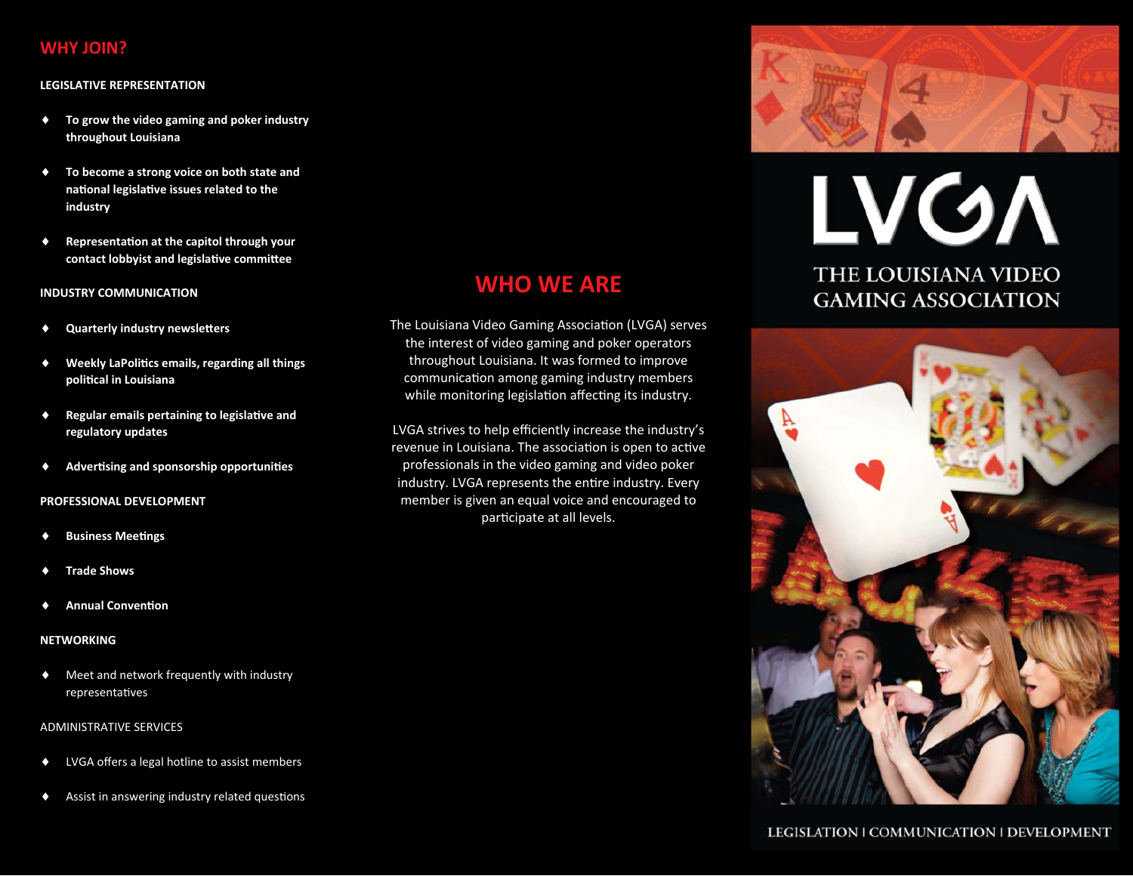### **WHY JOIN?**

#### **LEGISLATIVE REPRESENTATION**

- To grow the video gaming and poker industry throughout Louisiana
- To become a strong voice on both state and  $\bullet$ national legislative issues related to the industry
- Representation at the capitol through your  $\blacklozenge$ contact lobbyist and legislative committee

#### **INDUSTRY COMMUNICATION**

- **Quarterly industry newsletters**  $\bullet$
- $\bullet$ Weekly LaPolitics emails, regarding all things political in Louisiana
- Regular emails pertaining to legislative and  $\bullet$ regulatory updates
- Advertising and sponsorship opportunities

#### PROFESSIONAL DEVELOPMENT

- **Business Meetings**
- **Trade Shows**
- **Annual Convention**

#### **NETWORKING**

Meet and network frequently with industry  $\bullet$ representatives

#### **ADMINISTRATIVE SERVICES**

- LVGA offers a legal hotline to assist members  $\blacklozenge$
- Assist in answering industry related questions

## **WHO WE ARE**

The Louisiana Video Gaming Association (LVGA) serves the interest of video gaming and poker operators throughout Louisiana. It was formed to improve communication among gaming industry members while monitoring legislation affecting its industry.

LVGA strives to help efficiently increase the industry's revenue in Louisiana. The association is open to active professionals in the video gaming and video poker industry. LVGA represents the entire industry. Every member is given an equal voice and encouraged to participate at all levels.



# **LVGA THE LOUISIANA VIDEO GAMING ASSOCIATION**